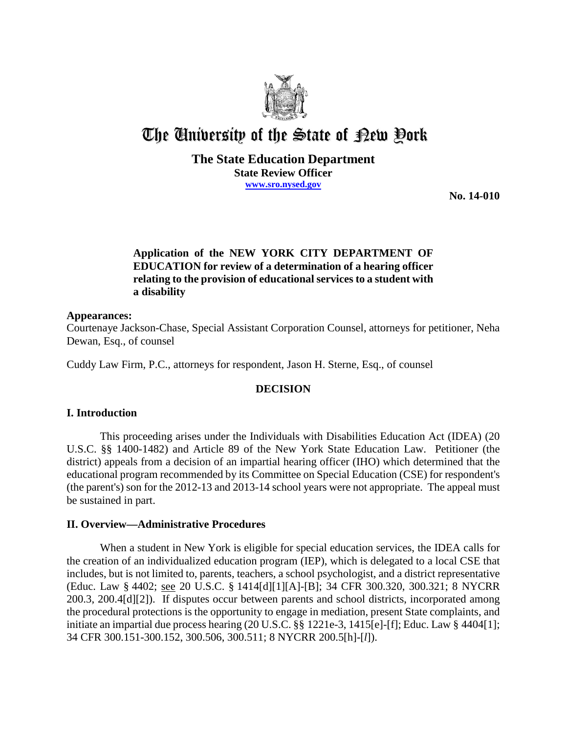

# The University of the State of Pew Pork

## **The State Education Department State Review Officer www.sro.nysed.gov**

**No. 14-010** 

# **Application of the NEW YORK CITY DEPARTMENT OF EDUCATION for review of a determination of a hearing officer relating to the provision of educational services to a student with a disability**

### **Appearances:**

Courtenaye Jackson-Chase, Special Assistant Corporation Counsel, attorneys for petitioner, Neha Dewan, Esq., of counsel

Cuddy Law Firm, P.C., attorneys for respondent, Jason H. Sterne, Esq., of counsel

## **DECISION**

## **I. Introduction**

This proceeding arises under the Individuals with Disabilities Education Act (IDEA) (20 U.S.C. §§ 1400-1482) and Article 89 of the New York State Education Law. Petitioner (the district) appeals from a decision of an impartial hearing officer (IHO) which determined that the educational program recommended by its Committee on Special Education (CSE) for respondent's (the parent's) son for the 2012-13 and 2013-14 school years were not appropriate. The appeal must be sustained in part.

## **II. Overview—Administrative Procedures**

When a student in New York is eligible for special education services, the IDEA calls for the creation of an individualized education program (IEP), which is delegated to a local CSE that includes, but is not limited to, parents, teachers, a school psychologist, and a district representative (Educ. Law § 4402; see 20 U.S.C. § 1414[d][1][A]-[B]; 34 CFR 300.320, 300.321; 8 NYCRR 200.3, 200.4[d][2]). If disputes occur between parents and school districts, incorporated among the procedural protections is the opportunity to engage in mediation, present State complaints, and initiate an impartial due process hearing (20 U.S.C. §§ 1221e-3, 1415[e]-[f]; Educ. Law § 4404[1]; 34 CFR 300.151-300.152, 300.506, 300.511; 8 NYCRR 200.5[h]-[*l*]).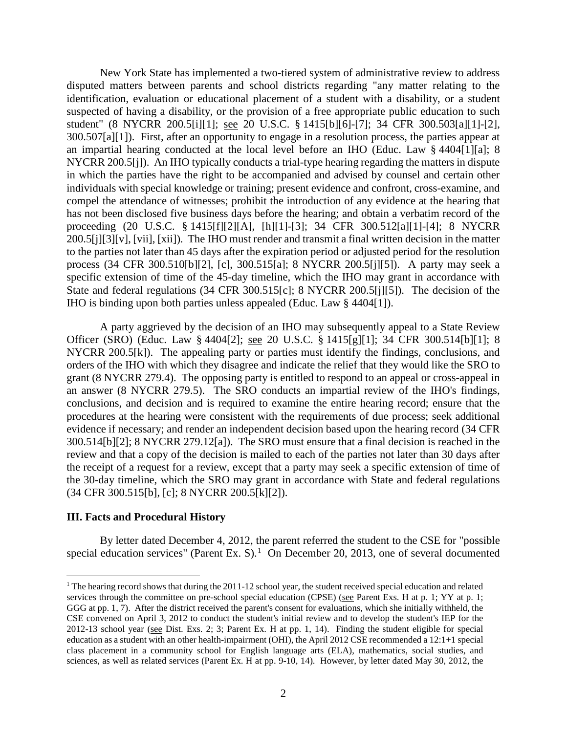New York State has implemented a two-tiered system of administrative review to address disputed matters between parents and school districts regarding "any matter relating to the identification, evaluation or educational placement of a student with a disability, or a student suspected of having a disability, or the provision of a free appropriate public education to such student" (8 NYCRR 200.5[i][1]; see 20 U.S.C. § 1415[b][6]-[7]; 34 CFR 300.503[a][1]-[2], 300.507[a][1]). First, after an opportunity to engage in a resolution process, the parties appear at an impartial hearing conducted at the local level before an IHO (Educ. Law § 4404[1][a]; 8 NYCRR 200.5[j]). An IHO typically conducts a trial-type hearing regarding the matters in dispute in which the parties have the right to be accompanied and advised by counsel and certain other individuals with special knowledge or training; present evidence and confront, cross-examine, and compel the attendance of witnesses; prohibit the introduction of any evidence at the hearing that has not been disclosed five business days before the hearing; and obtain a verbatim record of the proceeding (20 U.S.C. § 1415[f][2][A], [h][1]-[3]; 34 CFR 300.512[a][1]-[4]; 8 NYCRR 200.5[j][3][v], [vii], [xii]). The IHO must render and transmit a final written decision in the matter to the parties not later than 45 days after the expiration period or adjusted period for the resolution process (34 CFR 300.510[b][2], [c], 300.515[a]; 8 NYCRR 200.5[j][5]). A party may seek a specific extension of time of the 45-day timeline, which the IHO may grant in accordance with State and federal regulations (34 CFR 300.515[c]; 8 NYCRR 200.5[j][5]). The decision of the IHO is binding upon both parties unless appealed (Educ. Law § 4404[1]).

A party aggrieved by the decision of an IHO may subsequently appeal to a State Review Officer (SRO) (Educ. Law § 4404[2]; see 20 U.S.C. § 1415[g][1]; 34 CFR 300.514[b][1]; 8 NYCRR 200.5[k]). The appealing party or parties must identify the findings, conclusions, and orders of the IHO with which they disagree and indicate the relief that they would like the SRO to grant (8 NYCRR 279.4). The opposing party is entitled to respond to an appeal or cross-appeal in an answer (8 NYCRR 279.5). The SRO conducts an impartial review of the IHO's findings, conclusions, and decision and is required to examine the entire hearing record; ensure that the procedures at the hearing were consistent with the requirements of due process; seek additional evidence if necessary; and render an independent decision based upon the hearing record (34 CFR 300.514[b][2]; 8 NYCRR 279.12[a]). The SRO must ensure that a final decision is reached in the review and that a copy of the decision is mailed to each of the parties not later than 30 days after the receipt of a request for a review, except that a party may seek a specific extension of time of the 30-day timeline, which the SRO may grant in accordance with State and federal regulations (34 CFR 300.515[b], [c]; 8 NYCRR 200.5[k][2]).

#### **III. Facts and Procedural History**

By letter dated December 4, 2012, the parent referred the student to the CSE for "possible special education services" (Parent Ex. S). $<sup>1</sup>$  On December 20, 2013, one of several documented</sup>

<sup>&</sup>lt;sup>1</sup> The hearing record shows that during the 2011-12 school year, the student received special education and related services through the committee on pre-school special education (CPSE) (see Parent Exs. H at p. 1; YY at p. 1; GGG at pp. 1, 7). After the district received the parent's consent for evaluations, which she initially withheld, the CSE convened on April 3, 2012 to conduct the student's initial review and to develop the student's IEP for the 2012-13 school year (see Dist. Exs. 2; 3; Parent Ex. H at pp. 1, 14). Finding the student eligible for special education as a student with an other health-impairment (OHI), the April 2012 CSE recommended a 12:1+1 special class placement in a community school for English language arts (ELA), mathematics, social studies, and sciences, as well as related services (Parent Ex. H at pp. 9-10, 14). However, by letter dated May 30, 2012, the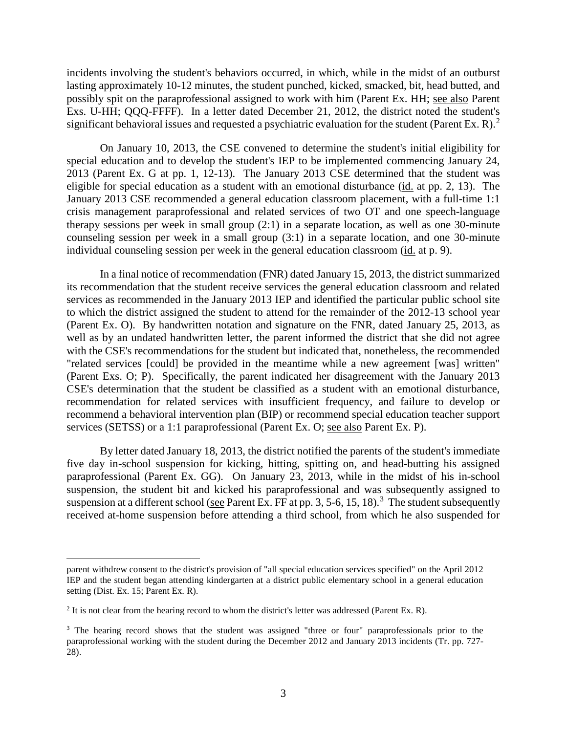incidents involving the student's behaviors occurred, in which, while in the midst of an outburst lasting approximately 10-12 minutes, the student punched, kicked, smacked, bit, head butted, and possibly spit on the paraprofessional assigned to work with him (Parent Ex. HH; see also Parent Exs. U-HH; QQQ-FFFF). In a letter dated December 21, 2012, the district noted the student's significant behavioral issues and requested a psychiatric evaluation for the student (Parent Ex. R).<sup>2</sup>

On January 10, 2013, the CSE convened to determine the student's initial eligibility for special education and to develop the student's IEP to be implemented commencing January 24, 2013 (Parent Ex. G at pp. 1, 12-13). The January 2013 CSE determined that the student was eligible for special education as a student with an emotional disturbance (id. at pp. 2, 13). The January 2013 CSE recommended a general education classroom placement, with a full-time 1:1 crisis management paraprofessional and related services of two OT and one speech-language therapy sessions per week in small group (2:1) in a separate location, as well as one 30-minute counseling session per week in a small group (3:1) in a separate location, and one 30-minute individual counseling session per week in the general education classroom (id. at p. 9).

In a final notice of recommendation (FNR) dated January 15, 2013, the district summarized its recommendation that the student receive services the general education classroom and related services as recommended in the January 2013 IEP and identified the particular public school site to which the district assigned the student to attend for the remainder of the 2012-13 school year (Parent Ex. O). By handwritten notation and signature on the FNR, dated January 25, 2013, as well as by an undated handwritten letter, the parent informed the district that she did not agree with the CSE's recommendations for the student but indicated that, nonetheless, the recommended "related services [could] be provided in the meantime while a new agreement [was] written" (Parent Exs. O; P). Specifically, the parent indicated her disagreement with the January 2013 CSE's determination that the student be classified as a student with an emotional disturbance, recommendation for related services with insufficient frequency, and failure to develop or recommend a behavioral intervention plan (BIP) or recommend special education teacher support services (SETSS) or a 1:1 paraprofessional (Parent Ex. O; see also Parent Ex. P).

By letter dated January 18, 2013, the district notified the parents of the student's immediate five day in-school suspension for kicking, hitting, spitting on, and head-butting his assigned paraprofessional (Parent Ex. GG). On January 23, 2013, while in the midst of his in-school suspension, the student bit and kicked his paraprofessional and was subsequently assigned to suspension at a different school (see Parent Ex. FF at pp. 3, 5-6, 15, 18).<sup>3</sup> The student subsequently received at-home suspension before attending a third school, from which he also suspended for

parent withdrew consent to the district's provision of "all special education services specified" on the April 2012 IEP and the student began attending kindergarten at a district public elementary school in a general education setting (Dist. Ex. 15; Parent Ex. R).

 $2$  It is not clear from the hearing record to whom the district's letter was addressed (Parent Ex. R).

<sup>&</sup>lt;sup>3</sup> The hearing record shows that the student was assigned "three or four" paraprofessionals prior to the paraprofessional working with the student during the December 2012 and January 2013 incidents (Tr. pp. 727- 28).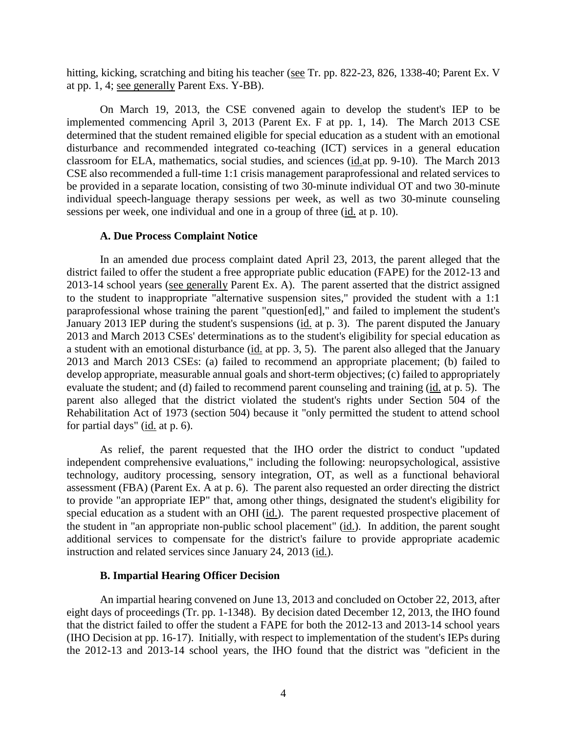hitting, kicking, scratching and biting his teacher (see Tr. pp. 822-23, 826, 1338-40; Parent Ex. V at pp. 1, 4; see generally Parent Exs. Y-BB).

On March 19, 2013, the CSE convened again to develop the student's IEP to be implemented commencing April 3, 2013 (Parent Ex. F at pp. 1, 14). The March 2013 CSE determined that the student remained eligible for special education as a student with an emotional disturbance and recommended integrated co-teaching (ICT) services in a general education classroom for ELA, mathematics, social studies, and sciences (id.at pp. 9-10). The March 2013 CSE also recommended a full-time 1:1 crisis management paraprofessional and related services to be provided in a separate location, consisting of two 30-minute individual OT and two 30-minute individual speech-language therapy sessions per week, as well as two 30-minute counseling sessions per week, one individual and one in a group of three (id. at p. 10).

#### **A. Due Process Complaint Notice**

In an amended due process complaint dated April 23, 2013, the parent alleged that the district failed to offer the student a free appropriate public education (FAPE) for the 2012-13 and 2013-14 school years (see generally Parent Ex. A). The parent asserted that the district assigned to the student to inappropriate "alternative suspension sites," provided the student with a 1:1 paraprofessional whose training the parent "question[ed]," and failed to implement the student's January 2013 IEP during the student's suspensions (id. at p. 3). The parent disputed the January 2013 and March 2013 CSEs' determinations as to the student's eligibility for special education as a student with an emotional disturbance (id. at pp. 3, 5). The parent also alleged that the January 2013 and March 2013 CSEs: (a) failed to recommend an appropriate placement; (b) failed to develop appropriate, measurable annual goals and short-term objectives; (c) failed to appropriately evaluate the student; and (d) failed to recommend parent counseling and training (id. at p. 5). The parent also alleged that the district violated the student's rights under Section 504 of the Rehabilitation Act of 1973 (section 504) because it "only permitted the student to attend school for partial days" (id. at p. 6).

As relief, the parent requested that the IHO order the district to conduct "updated independent comprehensive evaluations," including the following: neuropsychological, assistive technology, auditory processing, sensory integration, OT, as well as a functional behavioral assessment (FBA) (Parent Ex. A at p. 6). The parent also requested an order directing the district to provide "an appropriate IEP" that, among other things, designated the student's eligibility for special education as a student with an OHI (id.). The parent requested prospective placement of the student in "an appropriate non-public school placement" (id.). In addition, the parent sought additional services to compensate for the district's failure to provide appropriate academic instruction and related services since January 24, 2013 (id.).

## **B. Impartial Hearing Officer Decision**

An impartial hearing convened on June 13, 2013 and concluded on October 22, 2013, after eight days of proceedings (Tr. pp. 1-1348). By decision dated December 12, 2013, the IHO found that the district failed to offer the student a FAPE for both the 2012-13 and 2013-14 school years (IHO Decision at pp. 16-17). Initially, with respect to implementation of the student's IEPs during the 2012-13 and 2013-14 school years, the IHO found that the district was "deficient in the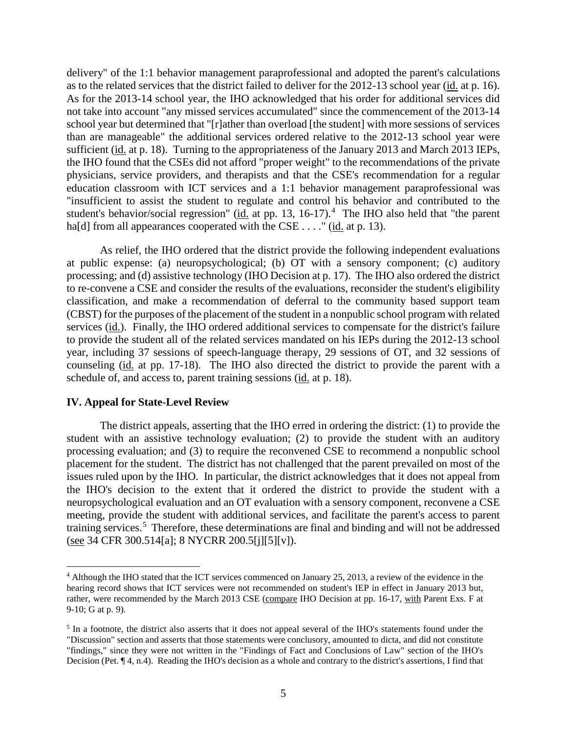delivery" of the 1:1 behavior management paraprofessional and adopted the parent's calculations as to the related services that the district failed to deliver for the 2012-13 school year (id. at p. 16). As for the 2013-14 school year, the IHO acknowledged that his order for additional services did not take into account "any missed services accumulated" since the commencement of the 2013-14 school year but determined that "[r]ather than overload [the student] with more sessions of services than are manageable" the additional services ordered relative to the 2012-13 school year were sufficient (id. at p. 18). Turning to the appropriateness of the January 2013 and March 2013 IEPs, the IHO found that the CSEs did not afford "proper weight" to the recommendations of the private physicians, service providers, and therapists and that the CSE's recommendation for a regular education classroom with ICT services and a 1:1 behavior management paraprofessional was "insufficient to assist the student to regulate and control his behavior and contributed to the student's behavior/social regression" (id. at pp. 13, 16-17).<sup>4</sup> The IHO also held that "the parent ha[d] from all appearances cooperated with the CSE . . . . " (id. at p. 13).

As relief, the IHO ordered that the district provide the following independent evaluations at public expense: (a) neuropsychological; (b) OT with a sensory component; (c) auditory processing; and (d) assistive technology (IHO Decision at p. 17). The IHO also ordered the district to re-convene a CSE and consider the results of the evaluations, reconsider the student's eligibility classification, and make a recommendation of deferral to the community based support team (CBST) for the purposes of the placement of the student in a nonpublic school program with related services (id.). Finally, the IHO ordered additional services to compensate for the district's failure to provide the student all of the related services mandated on his IEPs during the 2012-13 school year, including 37 sessions of speech-language therapy, 29 sessions of OT, and 32 sessions of counseling (id. at pp. 17-18). The IHO also directed the district to provide the parent with a schedule of, and access to, parent training sessions (id. at p. 18).

#### **IV. Appeal for State-Level Review**

The district appeals, asserting that the IHO erred in ordering the district: (1) to provide the student with an assistive technology evaluation; (2) to provide the student with an auditory processing evaluation; and (3) to require the reconvened CSE to recommend a nonpublic school placement for the student. The district has not challenged that the parent prevailed on most of the issues ruled upon by the IHO. In particular, the district acknowledges that it does not appeal from the IHO's decision to the extent that it ordered the district to provide the student with a neuropsychological evaluation and an OT evaluation with a sensory component, reconvene a CSE meeting, provide the student with additional services, and facilitate the parent's access to parent training services.<sup>5</sup> Therefore, these determinations are final and binding and will not be addressed (see 34 CFR 300.514[a]; 8 NYCRR 200.5[j][5][v]).

 <sup>4</sup> Although the IHO stated that the ICT services commenced on January 25, 2013, a review of the evidence in the hearing record shows that ICT services were not recommended on student's IEP in effect in January 2013 but, rather, were recommended by the March 2013 CSE (compare IHO Decision at pp. 16-17, with Parent Exs. F at 9-10; G at p. 9).

<sup>&</sup>lt;sup>5</sup> In a footnote, the district also asserts that it does not appeal several of the IHO's statements found under the "Discussion" section and asserts that those statements were conclusory, amounted to dicta, and did not constitute "findings," since they were not written in the "Findings of Fact and Conclusions of Law" section of the IHO's Decision (Pet. ¶ 4, n.4). Reading the IHO's decision as a whole and contrary to the district's assertions, I find that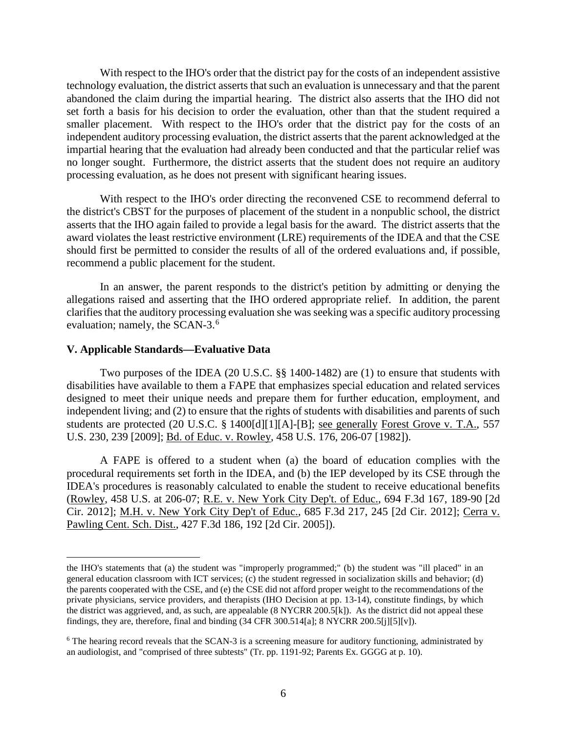With respect to the IHO's order that the district pay for the costs of an independent assistive technology evaluation, the district asserts that such an evaluation is unnecessary and that the parent abandoned the claim during the impartial hearing. The district also asserts that the IHO did not set forth a basis for his decision to order the evaluation, other than that the student required a smaller placement. With respect to the IHO's order that the district pay for the costs of an independent auditory processing evaluation, the district asserts that the parent acknowledged at the impartial hearing that the evaluation had already been conducted and that the particular relief was no longer sought. Furthermore, the district asserts that the student does not require an auditory processing evaluation, as he does not present with significant hearing issues.

With respect to the IHO's order directing the reconvened CSE to recommend deferral to the district's CBST for the purposes of placement of the student in a nonpublic school, the district asserts that the IHO again failed to provide a legal basis for the award. The district asserts that the award violates the least restrictive environment (LRE) requirements of the IDEA and that the CSE should first be permitted to consider the results of all of the ordered evaluations and, if possible, recommend a public placement for the student.

In an answer, the parent responds to the district's petition by admitting or denying the allegations raised and asserting that the IHO ordered appropriate relief. In addition, the parent clarifies that the auditory processing evaluation she was seeking was a specific auditory processing evaluation; namely, the SCAN-3.<sup>6</sup>

### **V. Applicable Standards—Evaluative Data**

 $\overline{a}$ 

Two purposes of the IDEA (20 U.S.C. §§ 1400-1482) are (1) to ensure that students with disabilities have available to them a FAPE that emphasizes special education and related services designed to meet their unique needs and prepare them for further education, employment, and independent living; and (2) to ensure that the rights of students with disabilities and parents of such students are protected (20 U.S.C. § 1400[d][1][A]-[B]; see generally Forest Grove v. T.A., 557 U.S. 230, 239 [2009]; Bd. of Educ. v. Rowley, 458 U.S. 176, 206-07 [1982]).

A FAPE is offered to a student when (a) the board of education complies with the procedural requirements set forth in the IDEA, and (b) the IEP developed by its CSE through the IDEA's procedures is reasonably calculated to enable the student to receive educational benefits (Rowley, 458 U.S. at 206-07; R.E. v. New York City Dep't. of Educ., 694 F.3d 167, 189-90 [2d Cir. 2012]; M.H. v. New York City Dep't of Educ., 685 F.3d 217, 245 [2d Cir. 2012]; Cerra v. Pawling Cent. Sch. Dist., 427 F.3d 186, 192 [2d Cir. 2005]).

the IHO's statements that (a) the student was "improperly programmed;" (b) the student was "ill placed" in an general education classroom with ICT services; (c) the student regressed in socialization skills and behavior; (d) the parents cooperated with the CSE, and (e) the CSE did not afford proper weight to the recommendations of the private physicians, service providers, and therapists (IHO Decision at pp. 13-14), constitute findings, by which the district was aggrieved, and, as such, are appealable (8 NYCRR 200.5[k]). As the district did not appeal these findings, they are, therefore, final and binding (34 CFR 300.514[a]; 8 NYCRR 200.5[j][5][v]).

<sup>&</sup>lt;sup>6</sup> The hearing record reveals that the SCAN-3 is a screening measure for auditory functioning, administrated by an audiologist, and "comprised of three subtests" (Tr. pp. 1191-92; Parents Ex. GGGG at p. 10).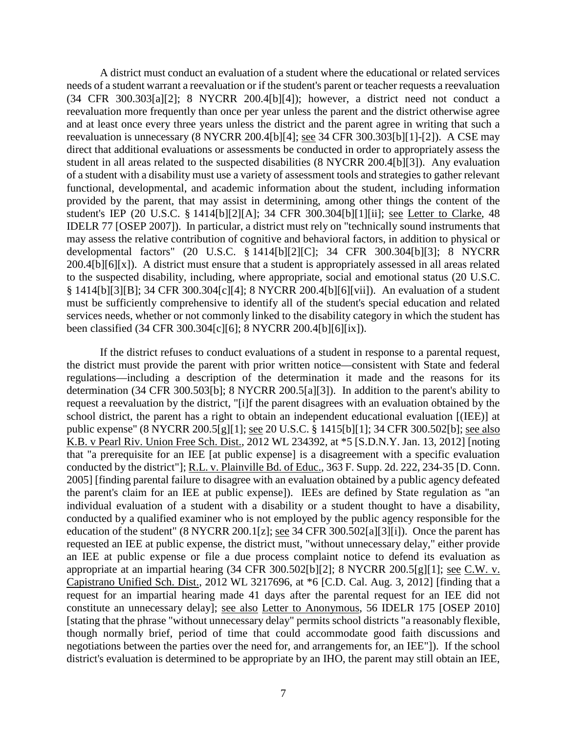A district must conduct an evaluation of a student where the educational or related services needs of a student warrant a reevaluation or if the student's parent or teacher requests a reevaluation (34 CFR 300.303[a][2]; 8 NYCRR 200.4[b][4]); however, a district need not conduct a reevaluation more frequently than once per year unless the parent and the district otherwise agree and at least once every three years unless the district and the parent agree in writing that such a reevaluation is unnecessary (8 NYCRR 200.4[b][4]; see 34 CFR 300.303[b][1]-[2]). A CSE may direct that additional evaluations or assessments be conducted in order to appropriately assess the student in all areas related to the suspected disabilities (8 NYCRR 200.4[b][3]). Any evaluation of a student with a disability must use a variety of assessment tools and strategies to gather relevant functional, developmental, and academic information about the student, including information provided by the parent, that may assist in determining, among other things the content of the student's IEP (20 U.S.C. § 1414[b][2][A]; 34 CFR 300.304[b][1][ii]; see Letter to Clarke, 48 IDELR 77 [OSEP 2007]). In particular, a district must rely on "technically sound instruments that may assess the relative contribution of cognitive and behavioral factors, in addition to physical or developmental factors" (20 U.S.C. § 1414[b][2][C]; 34 CFR 300.304[b][3]; 8 NYCRR 200.4[b][6][x]). A district must ensure that a student is appropriately assessed in all areas related to the suspected disability, including, where appropriate, social and emotional status (20 U.S.C. § 1414[b][3][B]; 34 CFR 300.304[c][4]; 8 NYCRR 200.4[b][6][vii]). An evaluation of a student must be sufficiently comprehensive to identify all of the student's special education and related services needs, whether or not commonly linked to the disability category in which the student has been classified (34 CFR 300.304[c][6]; 8 NYCRR 200.4[b][6][ix]).

If the district refuses to conduct evaluations of a student in response to a parental request, the district must provide the parent with prior written notice—consistent with State and federal regulations—including a description of the determination it made and the reasons for its determination (34 CFR 300.503[b]; 8 NYCRR 200.5[a][3]). In addition to the parent's ability to request a reevaluation by the district, "[i]f the parent disagrees with an evaluation obtained by the school district, the parent has a right to obtain an independent educational evaluation [(IEE)] at public expense" (8 NYCRR 200.5[g][1]; see 20 U.S.C. § 1415[b][1]; 34 CFR 300.502[b]; see also K.B. v Pearl Riv. Union Free Sch. Dist., 2012 WL 234392, at \*5 [S.D.N.Y. Jan. 13, 2012] [noting that "a prerequisite for an IEE [at public expense] is a disagreement with a specific evaluation conducted by the district"]; R.L. v. Plainville Bd. of Educ., 363 F. Supp. 2d. 222, 234-35 [D. Conn. 2005] [finding parental failure to disagree with an evaluation obtained by a public agency defeated the parent's claim for an IEE at public expense]). IEEs are defined by State regulation as "an individual evaluation of a student with a disability or a student thought to have a disability, conducted by a qualified examiner who is not employed by the public agency responsible for the education of the student" (8 NYCRR 200.1[z]; see 34 CFR 300.502[a][3][i]). Once the parent has requested an IEE at public expense, the district must, "without unnecessary delay," either provide an IEE at public expense or file a due process complaint notice to defend its evaluation as appropriate at an impartial hearing (34 CFR 300.502[b][2]; 8 NYCRR 200.5[g][1]; see C.W. v. Capistrano Unified Sch. Dist., 2012 WL 3217696, at \*6 [C.D. Cal. Aug. 3, 2012] [finding that a request for an impartial hearing made 41 days after the parental request for an IEE did not constitute an unnecessary delay]; see also Letter to Anonymous, 56 IDELR 175 [OSEP 2010] [stating that the phrase "without unnecessary delay" permits school districts "a reasonably flexible, though normally brief, period of time that could accommodate good faith discussions and negotiations between the parties over the need for, and arrangements for, an IEE"]). If the school district's evaluation is determined to be appropriate by an IHO, the parent may still obtain an IEE,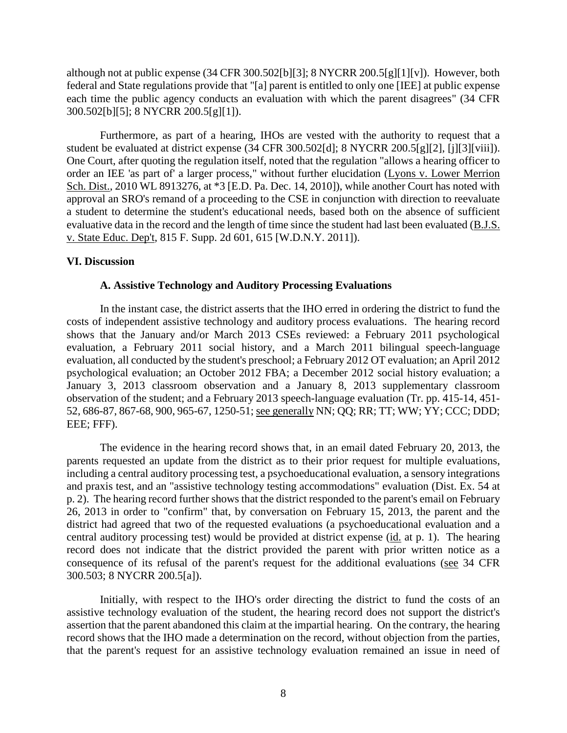although not at public expense (34 CFR 300.502[b][3]; 8 NYCRR 200.5[g][1][v]). However, both federal and State regulations provide that "[a] parent is entitled to only one [IEE] at public expense each time the public agency conducts an evaluation with which the parent disagrees" (34 CFR 300.502[b][5]; 8 NYCRR 200.5[g][1]).

Furthermore, as part of a hearing, IHOs are vested with the authority to request that a student be evaluated at district expense (34 CFR 300.502[d]; 8 NYCRR 200.5[g][2], [j][3][viii]). One Court, after quoting the regulation itself, noted that the regulation "allows a hearing officer to order an IEE 'as part of' a larger process," without further elucidation (Lyons v. Lower Merrion Sch. Dist., 2010 WL 8913276, at \*3 [E.D. Pa. Dec. 14, 2010]), while another Court has noted with approval an SRO's remand of a proceeding to the CSE in conjunction with direction to reevaluate a student to determine the student's educational needs, based both on the absence of sufficient evaluative data in the record and the length of time since the student had last been evaluated (B.J.S. v. State Educ. Dep't, 815 F. Supp. 2d 601, 615 [W.D.N.Y. 2011]).

### **VI. Discussion**

#### **A. Assistive Technology and Auditory Processing Evaluations**

In the instant case, the district asserts that the IHO erred in ordering the district to fund the costs of independent assistive technology and auditory process evaluations. The hearing record shows that the January and/or March 2013 CSEs reviewed: a February 2011 psychological evaluation, a February 2011 social history, and a March 2011 bilingual speech-language evaluation, all conducted by the student's preschool; a February 2012 OT evaluation; an April 2012 psychological evaluation; an October 2012 FBA; a December 2012 social history evaluation; a January 3, 2013 classroom observation and a January 8, 2013 supplementary classroom observation of the student; and a February 2013 speech-language evaluation (Tr. pp. 415-14, 451- 52, 686-87, 867-68, 900, 965-67, 1250-51; see generally NN; QQ; RR; TT; WW; YY; CCC; DDD; EEE; FFF).

The evidence in the hearing record shows that, in an email dated February 20, 2013, the parents requested an update from the district as to their prior request for multiple evaluations, including a central auditory processing test, a psychoeducational evaluation, a sensory integrations and praxis test, and an "assistive technology testing accommodations" evaluation (Dist. Ex. 54 at p. 2). The hearing record further shows that the district responded to the parent's email on February 26, 2013 in order to "confirm" that, by conversation on February 15, 2013, the parent and the district had agreed that two of the requested evaluations (a psychoeducational evaluation and a central auditory processing test) would be provided at district expense (id. at p. 1). The hearing record does not indicate that the district provided the parent with prior written notice as a consequence of its refusal of the parent's request for the additional evaluations (see 34 CFR 300.503; 8 NYCRR 200.5[a]).

Initially, with respect to the IHO's order directing the district to fund the costs of an assistive technology evaluation of the student, the hearing record does not support the district's assertion that the parent abandoned this claim at the impartial hearing. On the contrary, the hearing record shows that the IHO made a determination on the record, without objection from the parties, that the parent's request for an assistive technology evaluation remained an issue in need of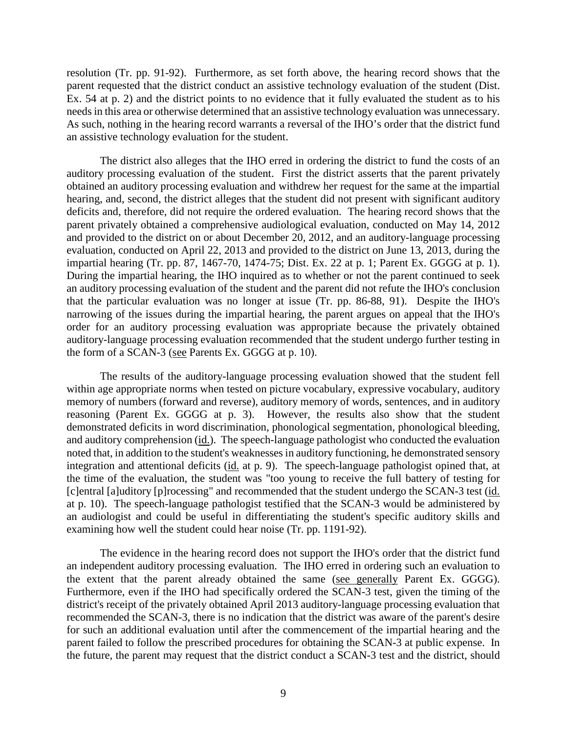resolution (Tr. pp. 91-92). Furthermore, as set forth above, the hearing record shows that the parent requested that the district conduct an assistive technology evaluation of the student (Dist. Ex. 54 at p. 2) and the district points to no evidence that it fully evaluated the student as to his needs in this area or otherwise determined that an assistive technology evaluation was unnecessary. As such, nothing in the hearing record warrants a reversal of the IHO's order that the district fund an assistive technology evaluation for the student.

The district also alleges that the IHO erred in ordering the district to fund the costs of an auditory processing evaluation of the student. First the district asserts that the parent privately obtained an auditory processing evaluation and withdrew her request for the same at the impartial hearing, and, second, the district alleges that the student did not present with significant auditory deficits and, therefore, did not require the ordered evaluation. The hearing record shows that the parent privately obtained a comprehensive audiological evaluation, conducted on May 14, 2012 and provided to the district on or about December 20, 2012, and an auditory-language processing evaluation, conducted on April 22, 2013 and provided to the district on June 13, 2013, during the impartial hearing (Tr. pp. 87, 1467-70, 1474-75; Dist. Ex. 22 at p. 1; Parent Ex. GGGG at p. 1). During the impartial hearing, the IHO inquired as to whether or not the parent continued to seek an auditory processing evaluation of the student and the parent did not refute the IHO's conclusion that the particular evaluation was no longer at issue (Tr. pp. 86-88, 91). Despite the IHO's narrowing of the issues during the impartial hearing, the parent argues on appeal that the IHO's order for an auditory processing evaluation was appropriate because the privately obtained auditory-language processing evaluation recommended that the student undergo further testing in the form of a SCAN-3 (see Parents Ex. GGGG at p. 10).

The results of the auditory-language processing evaluation showed that the student fell within age appropriate norms when tested on picture vocabulary, expressive vocabulary, auditory memory of numbers (forward and reverse), auditory memory of words, sentences, and in auditory reasoning (Parent Ex. GGGG at p. 3). However, the results also show that the student demonstrated deficits in word discrimination, phonological segmentation, phonological bleeding, and auditory comprehension (id.). The speech-language pathologist who conducted the evaluation noted that, in addition to the student's weaknesses in auditory functioning, he demonstrated sensory integration and attentional deficits (id. at p. 9). The speech-language pathologist opined that, at the time of the evaluation, the student was "too young to receive the full battery of testing for [c]entral [a]uditory [p]rocessing" and recommended that the student undergo the SCAN-3 test (id. at p. 10). The speech-language pathologist testified that the SCAN-3 would be administered by an audiologist and could be useful in differentiating the student's specific auditory skills and examining how well the student could hear noise (Tr. pp. 1191-92).

The evidence in the hearing record does not support the IHO's order that the district fund an independent auditory processing evaluation. The IHO erred in ordering such an evaluation to the extent that the parent already obtained the same (see generally Parent Ex. GGGG). Furthermore, even if the IHO had specifically ordered the SCAN-3 test, given the timing of the district's receipt of the privately obtained April 2013 auditory-language processing evaluation that recommended the SCAN-3, there is no indication that the district was aware of the parent's desire for such an additional evaluation until after the commencement of the impartial hearing and the parent failed to follow the prescribed procedures for obtaining the SCAN-3 at public expense. In the future, the parent may request that the district conduct a SCAN-3 test and the district, should